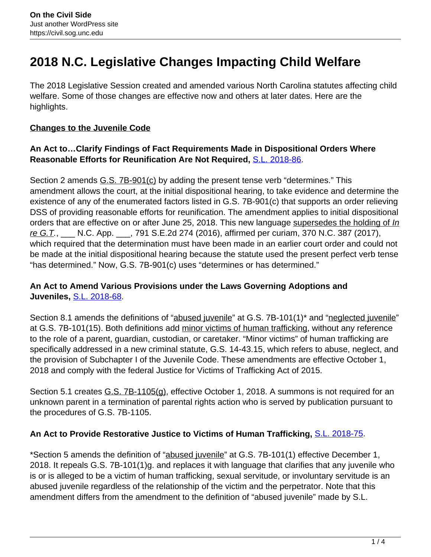# **2018 N.C. Legislative Changes Impacting Child Welfare**

The 2018 Legislative Session created and amended various North Carolina statutes affecting child welfare. Some of those changes are effective now and others at later dates. Here are the highlights.

#### **Changes to the Juvenile Code**

#### **An Act to…Clarify Findings of Fact Requirements Made in Dispositional Orders Where Reasonable Efforts for Reunification Are Not Required,** [S.L. 2018-86.](https://www.ncleg.net/EnactedLegislation/SessionLaws/HTML/2017-2018/SL2018-86.html)

Section 2 amends G.S. 7B-901(c) by adding the present tense verb "determines." This amendment allows the court, at the initial dispositional hearing, to take evidence and determine the existence of any of the enumerated factors listed in G.S. 7B-901(c) that supports an order relieving DSS of providing reasonable efforts for reunification. The amendment applies to initial dispositional orders that are effective on or after June 25, 2018. This new language supersedes the holding of In re G.T., \_\_\_ N.C. App. \_\_\_, 791 S.E.2d 274 (2016), affirmed per curiam, 370 N.C. 387 (2017), which required that the determination must have been made in an earlier court order and could not be made at the initial dispositional hearing because the statute used the present perfect verb tense "has determined." Now, G.S. 7B-901(c) uses "determines or has determined."

#### **An Act to Amend Various Provisions under the Laws Governing Adoptions and Juveniles,** S.L. 2018-68.

Section 8.1 amends the definitions of "abused juvenile" at G.S. 7B-101(1)\* and "neglected juvenile" at G.S. 7B-101(15). Both definitions add minor victims of human trafficking, without any reference to the role of a parent, guardian, custodian, or caretaker. "Minor victims" of human trafficking are specifically addressed in a new criminal statute, G.S. 14-43.15, which refers to abuse, neglect, and the provision of Subchapter I of the Juvenile Code. These amendments are effective October 1, 2018 and comply with the federal Justice for Victims of Trafficking Act of 2015.

Section 5.1 creates G.S. 7B-1105(g), effective October 1, 2018. A summons is not required for an unknown parent in a termination of parental rights action who is served by publication pursuant to the procedures of G.S. 7B-1105.

# **An Act to Provide Restorative Justice to Victims of Human Trafficking,** S.L. 2018-75.

\*Section 5 amends the definition of "abused juvenile" at G.S. 7B-101(1) effective December 1, 2018. It repeals G.S. 7B-101(1)g. and replaces it with language that clarifies that any juvenile who is or is alleged to be a victim of human trafficking, sexual servitude, or involuntary servitude is an abused juvenile regardless of the relationship of the victim and the perpetrator. Note that this amendment differs from the amendment to the definition of "abused juvenile" made by S.L.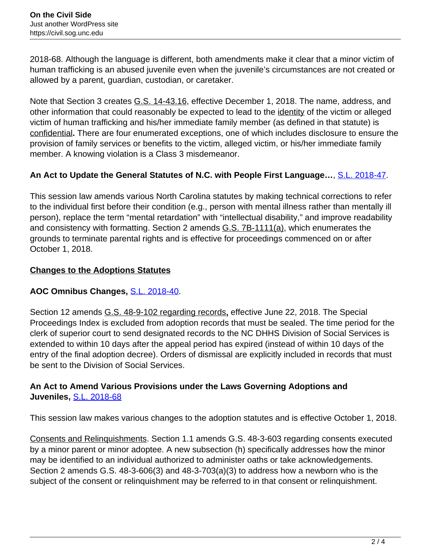2018-68. Although the language is different, both amendments make it clear that a minor victim of human trafficking is an abused juvenile even when the juvenile's circumstances are not created or allowed by a parent, guardian, custodian, or caretaker.

Note that Section 3 creates G.S. 14-43.16, effective December 1, 2018. The name, address, and other information that could reasonably be expected to lead to the identity of the victim or alleged victim of human trafficking and his/her immediate family member (as defined in that statute) is confidential**.** There are four enumerated exceptions, one of which includes disclosure to ensure the provision of family services or benefits to the victim, alleged victim, or his/her immediate family member. A knowing violation is a Class 3 misdemeanor.

# **An Act to Update the General Statutes of N.C. with People First Language…**, S.L. 2018-47.

This session law amends various North Carolina statutes by making technical corrections to refer to the individual first before their condition (e.g., person with mental illness rather than mentally ill person), replace the term "mental retardation" with "intellectual disability," and improve readability and consistency with formatting. Section 2 amends G.S. 7B-1111(a), which enumerates the grounds to terminate parental rights and is effective for proceedings commenced on or after October 1, 2018.

#### **Changes to the Adoptions Statutes**

# **AOC Omnibus Changes,** S.L. 2018-40.

Section 12 amends G.S. 48-9-102 regarding records**,** effective June 22, 2018. The Special Proceedings Index is excluded from adoption records that must be sealed. The time period for the clerk of superior court to send designated records to the NC DHHS Division of Social Services is extended to within 10 days after the appeal period has expired (instead of within 10 days of the entry of the final adoption decree). Orders of dismissal are explicitly included in records that must be sent to the Division of Social Services.

#### **An Act to Amend Various Provisions under the Laws Governing Adoptions and Juveniles,** S.L. 2018-68

This session law makes various changes to the adoption statutes and is effective October 1, 2018.

Consents and Relinquishments. Section 1.1 amends G.S. 48-3-603 regarding consents executed by a minor parent or minor adoptee. A new subsection (h) specifically addresses how the minor may be identified to an individual authorized to administer oaths or take acknowledgements. Section 2 amends G.S. 48-3-606(3) and 48-3-703(a)(3) to address how a newborn who is the subject of the consent or relinquishment may be referred to in that consent or relinquishment.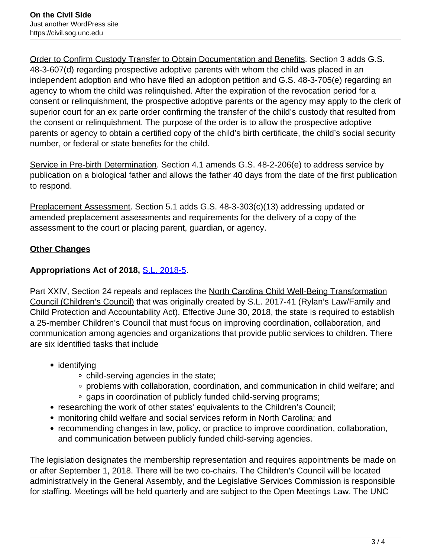Order to Confirm Custody Transfer to Obtain Documentation and Benefits. Section 3 adds G.S. 48-3-607(d) regarding prospective adoptive parents with whom the child was placed in an independent adoption and who have filed an adoption petition and G.S. 48-3-705(e) regarding an agency to whom the child was relinquished. After the expiration of the revocation period for a consent or relinquishment, the prospective adoptive parents or the agency may apply to the clerk of superior court for an ex parte order confirming the transfer of the child's custody that resulted from the consent or relinquishment. The purpose of the order is to allow the prospective adoptive parents or agency to obtain a certified copy of the child's birth certificate, the child's social security number, or federal or state benefits for the child.

Service in Pre-birth Determination. Section 4.1 amends G.S. 48-2-206(e) to address service by publication on a biological father and allows the father 40 days from the date of the first publication to respond.

Preplacement Assessment. Section 5.1 adds G.S. 48-3-303(c)(13) addressing updated or amended preplacement assessments and requirements for the delivery of a copy of the assessment to the court or placing parent, guardian, or agency.

# **Other Changes**

# **Appropriations Act of 2018,** S.L. 2018-5.

Part XXIV, Section 24 repeals and replaces the North Carolina Child Well-Being Transformation Council (Children's Council) that was originally created by S.L. 2017-41 (Rylan's Law/Family and Child Protection and Accountability Act). Effective June 30, 2018, the state is required to establish a 25-member Children's Council that must focus on improving coordination, collaboration, and communication among agencies and organizations that provide public services to children. There are six identified tasks that include

- identifying
	- child-serving agencies in the state;
	- problems with collaboration, coordination, and communication in child welfare; and
	- gaps in coordination of publicly funded child-serving programs;
- researching the work of other states' equivalents to the Children's Council;
- monitoring child welfare and social services reform in North Carolina; and
- recommending changes in law, policy, or practice to improve coordination, collaboration, and communication between publicly funded child-serving agencies.

The legislation designates the membership representation and requires appointments be made on or after September 1, 2018. There will be two co-chairs. The Children's Council will be located administratively in the General Assembly, and the Legislative Services Commission is responsible for staffing. Meetings will be held quarterly and are subject to the Open Meetings Law. The UNC